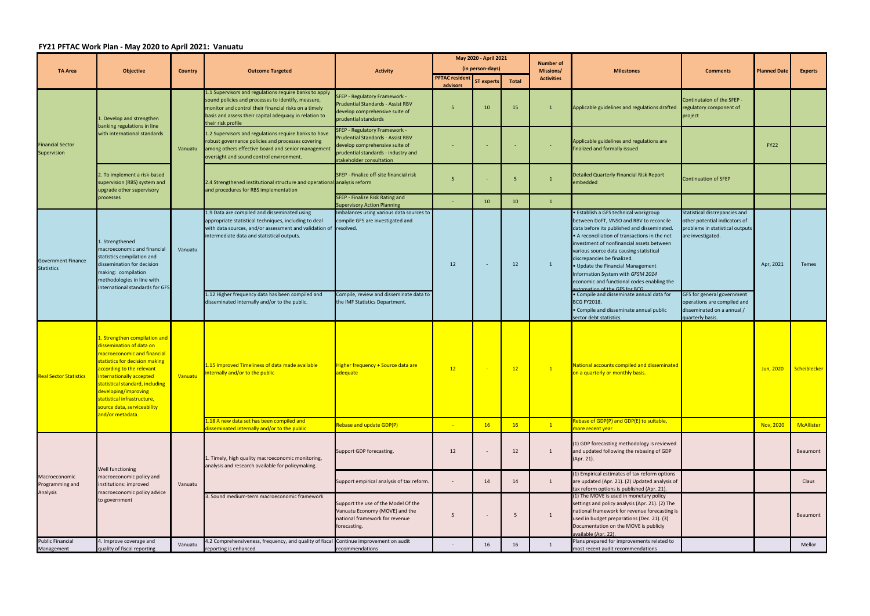## **FY21 PFTAC Work Plan ‐ May 2020 to April 2021: Vanuatu**

|                                                | <b>Objective</b>                                                                                                                                                                                                                                                                                                                 | <b>Country</b> | <b>Outcome Targeted</b>                                                                                                                                                                                                                               | <b>Activity</b>                                                                                                                                                                | May 2020 - April 2021    |                   |              |                               | <b>Milestones</b>                                                                                                                                                                                                                                                                                                                                                                                                                                               | <b>Comments</b>                                                                                                        | <b>Planned Date</b> | <b>Experts</b> |
|------------------------------------------------|----------------------------------------------------------------------------------------------------------------------------------------------------------------------------------------------------------------------------------------------------------------------------------------------------------------------------------|----------------|-------------------------------------------------------------------------------------------------------------------------------------------------------------------------------------------------------------------------------------------------------|--------------------------------------------------------------------------------------------------------------------------------------------------------------------------------|--------------------------|-------------------|--------------|-------------------------------|-----------------------------------------------------------------------------------------------------------------------------------------------------------------------------------------------------------------------------------------------------------------------------------------------------------------------------------------------------------------------------------------------------------------------------------------------------------------|------------------------------------------------------------------------------------------------------------------------|---------------------|----------------|
| <b>TA Area</b>                                 |                                                                                                                                                                                                                                                                                                                                  |                |                                                                                                                                                                                                                                                       |                                                                                                                                                                                | (in person-days)         |                   |              | <b>Number of</b><br>Missions/ |                                                                                                                                                                                                                                                                                                                                                                                                                                                                 |                                                                                                                        |                     |                |
|                                                |                                                                                                                                                                                                                                                                                                                                  |                |                                                                                                                                                                                                                                                       |                                                                                                                                                                                | <b>PFTAC resident</b>    | <b>ST experts</b> | <b>Total</b> | <b>Activities</b>             |                                                                                                                                                                                                                                                                                                                                                                                                                                                                 |                                                                                                                        |                     |                |
| <b>Financial Sector</b><br>Supervision         | 1. Develop and strengthen<br>banking regulations in line<br>with international standards<br>2. To implement a risk-based<br>supervision (RBS) system and<br>upgrade other supervisory<br>processes                                                                                                                               | Vanuatu        | 1.1 Supervisors and regulations require banks to apply<br>sound policies and processes to identify, measure,<br>monitor and control their financial risks on a timely<br>basis and assess their capital adequacy in relation to<br>their risk profile | SFEP - Regulatory Framework -<br><b>Prudential Standards - Assist RBV</b><br>develop comprehensive suite of<br>prudential standards                                            | advisors                 | 10                | 15           | $\overline{1}$                | Applicable guidelines and regulations drafted                                                                                                                                                                                                                                                                                                                                                                                                                   | Continutaion of the SFEP -<br>regulatory component of<br>project                                                       |                     |                |
|                                                |                                                                                                                                                                                                                                                                                                                                  |                | 1.2 Supervisors and regulations require banks to have<br>robust governance policies and processes covering<br>among others effective board and senior management<br>oversight and sound control environment.                                          | SFEP - Regulatory Framework -<br><b>Prudential Standards - Assist RBV</b><br>develop comprehensive suite of<br>prudential standards - industry and<br>stakeholder consultation |                          |                   |              |                               | Applicable guidelines and regulations are<br>finalized and formally issued                                                                                                                                                                                                                                                                                                                                                                                      |                                                                                                                        | <b>FY22</b>         |                |
|                                                |                                                                                                                                                                                                                                                                                                                                  |                | 2.4 Strengthened institutional structure and operational analysis reform<br>and procedures for RBS implementation                                                                                                                                     | SFEP - Finalize off-site financial risk                                                                                                                                        | 5                        |                   | -5           | $\mathbf{1}$                  | <b>Detailed Quarterly Financial Risk Report</b><br>embedded                                                                                                                                                                                                                                                                                                                                                                                                     | <b>Continuation of SFEP</b>                                                                                            |                     |                |
|                                                |                                                                                                                                                                                                                                                                                                                                  |                |                                                                                                                                                                                                                                                       | SFEP - Finalize Risk Rating and<br><b>Supervisory Action Planning</b>                                                                                                          |                          | 10                | 10           | $\mathbf{1}$                  |                                                                                                                                                                                                                                                                                                                                                                                                                                                                 |                                                                                                                        |                     |                |
| <b>Government Finance</b><br><b>Statistics</b> | 1. Strengthened<br>macroeconomic and financial<br>statistics compilation and<br>dissemination for decision<br>making: compilation<br>methodologies in line with<br>international standards for GFS                                                                                                                               | Vanuatu        | 1.9 Data are compiled and disseminated using<br>appropriate statistical techniques, including to deal<br>with data sources, and/or assessment and validation of<br>intermediate data and statistical outputs.                                         | Imbalances using various data sources to<br>compile GFS are investigated and<br>resolved.                                                                                      | 12                       | $\sim$            | 12           | $\mathbf{1}$                  | · Establish a GFS technical workgroup<br>between DoFT, VNSO and RBV to reconcile<br>data before its published and disseminated.<br>• A reconciliation of transactions in the net<br>investment of nonfinancial assets between<br>various source data causing statistical<br>discrepancies be finalized.<br>• Update the Financial Management<br>Information System with GFSM 2014<br>economic and functional codes enabling the<br>utomation of the GES for RCG | Statistical discrepancies and<br>other potential indicators of<br>problems in statistical outputs<br>are investigated. | Apr, 2021           | Temes          |
|                                                |                                                                                                                                                                                                                                                                                                                                  |                | 1.12 Higher frequency data has been compiled and<br>disseminated internally and/or to the public.                                                                                                                                                     | Compile, review and disseminate data to<br>the IMF Statistics Department.                                                                                                      |                          |                   |              |                               | · Compile and disseminate annual data for<br>BCG FY2018.<br>· Compile and disseminate annual public<br>sector debt statistics.                                                                                                                                                                                                                                                                                                                                  | GFS for general government<br>operations are compiled and<br>disseminated on a annual /<br>quarterly basis.            |                     |                |
| <b>Real Sector Statistics</b>                  | 1. Strengthen compilation and<br>dissemination of data on<br>macroeconomic and financial<br>statistics for decision making<br>according to the relevant<br>internationally accepted<br>statistical standard, including<br>developing/improving<br>statistical infrastructure,<br>source data, serviceability<br>and/or metadata. | Vanuatu        | 1.15 Improved Timeliness of data made available<br>internally and/or to the public                                                                                                                                                                    | Higher frequency + Source data are<br>adequate                                                                                                                                 | 12                       |                   | 12           | $\overline{1}$                | National accounts compiled and disseminated<br>on a quarterly or monthly basis.                                                                                                                                                                                                                                                                                                                                                                                 |                                                                                                                        | Jun, 2020           | Scheiblecker   |
|                                                |                                                                                                                                                                                                                                                                                                                                  |                | 1.18 A new data set has been compiled and<br>disseminated internally and/or to the public                                                                                                                                                             | <b>Rebase and update GDP(P)</b>                                                                                                                                                |                          | 16                | 16           | $\mathbf{1}$                  | Rebase of GDP(P) and GDP(E) to suitable,<br>more recent year                                                                                                                                                                                                                                                                                                                                                                                                    |                                                                                                                        | Nov, 2020           | McAllister     |
| Macroeconomic<br>Programming and<br>Analysis   | Well functioning<br>macroeconomic policy and<br>institutions: improved<br>macroeconomic policy advice<br>to government                                                                                                                                                                                                           | Vanuatu        | 1. Timely, high quality macroeconomic monitoring,<br>analysis and research available for policymaking.                                                                                                                                                | Support GDP forecasting.                                                                                                                                                       | 12                       |                   | 12           | 1                             | (1) GDP forecasting methodology is reviewed<br>and updated following the rebasing of GDP<br>(Apr. 21).                                                                                                                                                                                                                                                                                                                                                          |                                                                                                                        |                     | Beaumont       |
|                                                |                                                                                                                                                                                                                                                                                                                                  |                |                                                                                                                                                                                                                                                       | Support empirical analysis of tax reform.                                                                                                                                      | $\overline{\phantom{a}}$ | 14                | 14           | $\overline{1}$                | (1) Empirical estimates of tax reform options<br>are updated (Apr. 21). (2) Updated analysis of<br>tax reform options is published (Apr. 21).                                                                                                                                                                                                                                                                                                                   |                                                                                                                        |                     | Claus          |
|                                                |                                                                                                                                                                                                                                                                                                                                  |                | 3. Sound medium-term macroeconomic framework                                                                                                                                                                                                          | Support the use of the Model Of the<br>Vanuatu Economy (MOVE) and the<br>national framework for revenue<br>forecasting.                                                        | 5                        |                   | -5           | 1                             | (1) The MOVE is used in monetary policy<br>settings and policy analysis (Apr. 21). (2) The<br>national framework for revenue forecasting is<br>used in budget preparations (Dec. 21). (3)<br>Documentation on the MOVE is publicly<br>available (Apr. 22).                                                                                                                                                                                                      |                                                                                                                        |                     | Beaumont       |
| <b>Public Financial</b><br>Management          | 4. Improve coverage and<br>quality of fiscal reporting                                                                                                                                                                                                                                                                           | Vanuatu        | 4.2 Comprehensiveness, frequency, and quality of fiscal Continue improvement on audit<br>reporting is enhanced                                                                                                                                        | recommendations                                                                                                                                                                |                          | 16                | 16           | 1                             | Plans prepared for improvements related to<br>most recent audit recommendations                                                                                                                                                                                                                                                                                                                                                                                 |                                                                                                                        |                     | Mellor         |